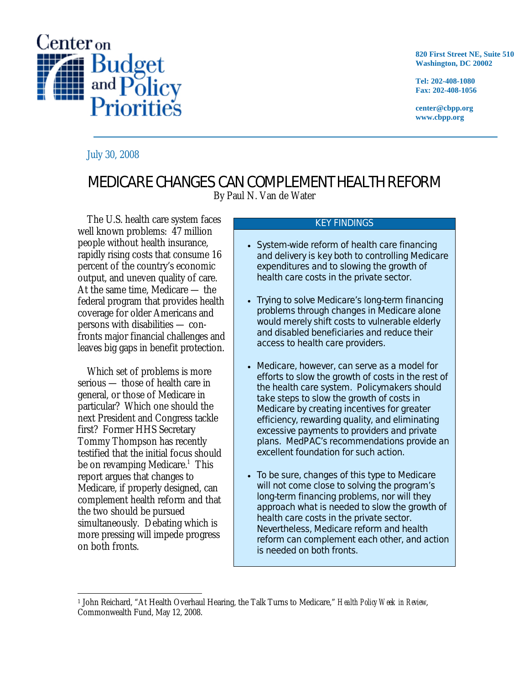

**820 First Street NE, Suite 510 Washington, DC 20002** 

**Tel: 202-408-1080 Fax: 202-408-1056** 

**center@cbpp.org www.cbpp.org** 

## July 30, 2008

## MEDICARE CHANGES CAN COMPLEMENT HEALTH REFORM

By Paul N. Van de Water

The U.S. health care system faces well known problems: 47 million people without health insurance, rapidly rising costs that consume 16 percent of the country's economic output, and uneven quality of care. At the same time, Medicare — the federal program that provides health coverage for older Americans and persons with disabilities — confronts major financial challenges and leaves big gaps in benefit protection.

 Which set of problems is more serious — those of health care in general, or those of Medicare in particular? Which one should the next President and Congress tackle first? Former HHS Secretary Tommy Thompson has recently testified that the initial focus should be on revamping Medicare.<sup>1</sup> This report argues that changes to Medicare, if properly designed, can complement health reform and that the two should be pursued simultaneously. Debating which is more pressing will impede progress on both fronts.

## KEY FINDINGS

- System-wide reform of health care financing and delivery is key both to controlling Medicare expenditures and to slowing the growth of health care costs in the private sector.
- Trying to solve Medicare's long-term financing problems through changes in Medicare alone would merely shift costs to vulnerable elderly and disabled beneficiaries and reduce their access to health care providers.
- Medicare, however, can serve as a model for efforts to slow the growth of costs in the rest of the health care system. Policymakers should take steps to slow the growth of costs in Medicare by creating incentives for greater efficiency, rewarding quality, and eliminating excessive payments to providers and private plans. MedPAC's recommendations provide an excellent foundation for such action.
- To be sure, changes of this type to Medicare will not come close to solving the program's long-term financing problems, nor will they approach what is needed to slow the growth of health care costs in the private sector. Nevertheless, Medicare reform and health reform can complement each other, and action is needed on both fronts.

 $\overline{a}$ 1 John Reichard, "At Health Overhaul Hearing, the Talk Turns to Medicare," *Health Policy Week in Review*, Commonwealth Fund, May 12, 2008.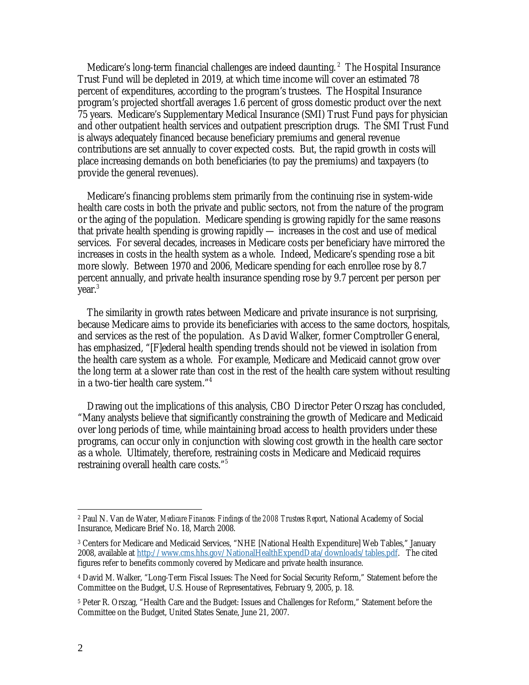Medicare's long-term financial challenges are indeed daunting. 2 The Hospital Insurance Trust Fund will be depleted in 2019, at which time income will cover an estimated 78 percent of expenditures, according to the program's trustees. The Hospital Insurance program's projected shortfall averages 1.6 percent of gross domestic product over the next 75 years. Medicare's Supplementary Medical Insurance (SMI) Trust Fund pays for physician and other outpatient health services and outpatient prescription drugs. The SMI Trust Fund is always adequately financed because beneficiary premiums and general revenue contributions are set annually to cover expected costs. But, the rapid growth in costs will place increasing demands on both beneficiaries (to pay the premiums) and taxpayers (to provide the general revenues).

Medicare's financing problems stem primarily from the continuing rise in system-wide health care costs in both the private and public sectors, not from the nature of the program or the aging of the population. Medicare spending is growing rapidly for the same reasons that private health spending is growing rapidly — increases in the cost and use of medical services. For several decades, increases in Medicare costs per beneficiary have mirrored the increases in costs in the health system as a whole. Indeed, Medicare's spending rose a bit more slowly. Between 1970 and 2006, Medicare spending for each enrollee rose by 8.7 percent annually, and private health insurance spending rose by 9.7 percent per person per year.<sup>3</sup>

 The similarity in growth rates between Medicare and private insurance is not surprising, because Medicare aims to provide its beneficiaries with access to the same doctors, hospitals, and services as the rest of the population. As David Walker, former Comptroller General, has emphasized, "[F]ederal health spending trends should not be viewed in isolation from the health care system as a whole. For example, Medicare and Medicaid cannot grow over the long term at a slower rate than cost in the rest of the health care system without resulting in a two-tier health care system."4

 Drawing out the implications of this analysis, CBO Director Peter Orszag has concluded, "Many analysts believe that significantly constraining the growth of Medicare and Medicaid over long periods of time, while maintaining broad access to health providers under these programs, can occur only in conjunction with slowing cost growth in the health care sector as a whole. Ultimately, therefore, restraining costs in Medicare and Medicaid requires restraining overall health care costs."<sup>5</sup>

<sup>1</sup> 2 Paul N. Van de Water, *Medicare Finances: Findings of the 2008 Trustees Report*, National Academy of Social Insurance, Medicare Brief No. 18, March 2008.

<sup>3</sup> Centers for Medicare and Medicaid Services, "NHE [National Health Expenditure] Web Tables," January 2008, available at http://www.cms.hhs.gov/NationalHealthExpendData/downloads/tables.pdf. The cited figures refer to benefits commonly covered by Medicare and private health insurance.

<sup>4</sup> David M. Walker, "Long-Term Fiscal Issues: The Need for Social Security Reform," Statement before the Committee on the Budget, U.S. House of Representatives, February 9, 2005, p. 18.

<sup>5</sup> Peter R. Orszag, "Health Care and the Budget: Issues and Challenges for Reform," Statement before the Committee on the Budget, United States Senate, June 21, 2007.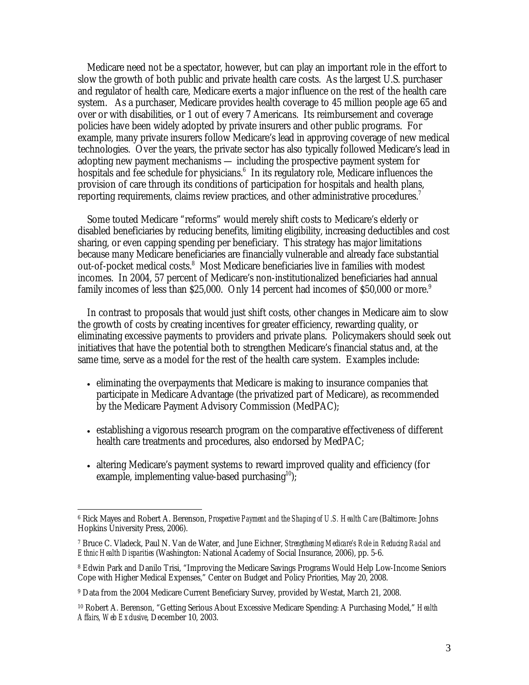Medicare need not be a spectator, however, but can play an important role in the effort to slow the growth of both public and private health care costs. As the largest U.S. purchaser and regulator of health care, Medicare exerts a major influence on the rest of the health care system. As a purchaser, Medicare provides health coverage to 45 million people age 65 and over or with disabilities, or 1 out of every 7 Americans. Its reimbursement and coverage policies have been widely adopted by private insurers and other public programs. For example, many private insurers follow Medicare's lead in approving coverage of new medical technologies. Over the years, the private sector has also typically followed Medicare's lead in adopting new payment mechanisms — including the prospective payment system for hospitals and fee schedule for physicians.<sup>6</sup> In its regulatory role, Medicare influences the provision of care through its conditions of participation for hospitals and health plans, reporting requirements, claims review practices, and other administrative procedures.<sup>7</sup>

 Some touted Medicare "reforms" would merely shift costs to Medicare's elderly or disabled beneficiaries by reducing benefits, limiting eligibility, increasing deductibles and cost sharing, or even capping spending per beneficiary. This strategy has major limitations because many Medicare beneficiaries are financially vulnerable and already face substantial out-of-pocket medical costs.<sup>8</sup> Most Medicare beneficiaries live in families with modest incomes. In 2004, 57 percent of Medicare's non-institutionalized beneficiaries had annual family incomes of less than \$25,000. Only 14 percent had incomes of \$50,000 or more.<sup>9</sup>

 In contrast to proposals that would just shift costs, other changes in Medicare aim to slow the growth of costs by creating incentives for greater efficiency, rewarding quality, or eliminating excessive payments to providers and private plans. Policymakers should seek out initiatives that have the potential both to strengthen Medicare's financial status and, at the same time, serve as a model for the rest of the health care system. Examples include:

- eliminating the overpayments that Medicare is making to insurance companies that participate in Medicare Advantage (the privatized part of Medicare), as recommended by the Medicare Payment Advisory Commission (MedPAC);
- establishing a vigorous research program on the comparative effectiveness of different health care treatments and procedures, also endorsed by MedPAC;
- altering Medicare's payment systems to reward improved quality and efficiency (for example, implementing value-based purchasing $10$ );

 $\overline{a}$ 

<sup>6</sup> Rick Mayes and Robert A. Berenson, *Prospective Payment and the Shaping of U.S. Health Care* (Baltimore: Johns Hopkins University Press, 2006).

<sup>7</sup> Bruce C. Vladeck, Paul N. Van de Water, and June Eichner, *Strengthening Medicare's Role in Reducing Racial and Ethnic Health Disparities* (Washington: National Academy of Social Insurance, 2006), pp. 5-6.

<sup>8</sup> Edwin Park and Danilo Trisi, "Improving the Medicare Savings Programs Would Help Low-Income Seniors Cope with Higher Medical Expenses," Center on Budget and Policy Priorities, May 20, 2008.

<sup>9</sup> Data from the 2004 Medicare Current Beneficiary Survey, provided by Westat, March 21, 2008.

<sup>10</sup> Robert A. Berenson, "Getting Serious About Excessive Medicare Spending: A Purchasing Model," *Health Affairs, Web Exclusive*, December 10, 2003.